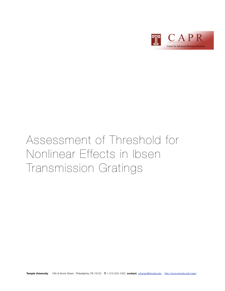

# Assessment of Threshold for Nonlinear Effects in Ibsen Transmission Gratings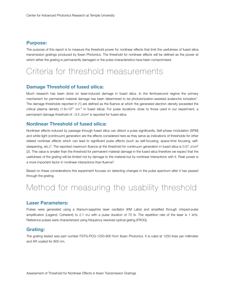#### **Purpose:**

The purpose of this report is to measure the threshold power for nonlinear effects that limit the usefulness of fused silica transmission gratings produced by Ibsen Photonics. The threshold for nonlinear effects will be defined as the power at which either the grating is permanently damaged or the pulse characteristics have been compromised.

### Criteria for threshold measurements

#### **Damage Threshold of fused silica:**

Much research has been done on laser-induced damage in fused silica. In the femtosecond regime the primary mechanism for permanent material damage has been determined to be photoionization-assisted avalanche ionizatio[n1](#page-4-0). The damage thresholds reported in (1) are defined as the fluence at which the generated electron density exceeded the critical plasma density  $(1.6\times10^{21} \text{ cm}^3 \text{ in fused silica})$ . For pulse durations close to those used in our experiment, a permanent damage threshold of  $\sim$ 3.5 J/cm<sup>2</sup> is reported for fused silica.

#### **Nonlinear Threshold of fused silica:**

Nonlinear effects induced by passage through fused silica can distort a pulse significantly. Self-phase modulation (SPM) and white-light (continuum) generation are the effects considered here as they serve as indications of thresholds for other related nonlinear effects which can lead to significant pulse effects (such as self-focusing, space-time focusing, self-steepening, etc.)<sup>[2](#page-4-1)</sup>. The reported maximum fluence at the threshold for continuum generation in fused silica is 0.57 J/cm<sup>2</sup> (2). This value is smaller than the threshold for permanent material damage in the fused silica therefore we expect that the usefulness of the grating will be limited not by damage to the material but by nonlinear interactions with it. Peak power is a more important factor in nonlinear interactions than fluence<sup>3</sup>.

Based on these considerations this experiment focuses on detecting changes in the pulse spectrum after it has passed through the grating.

## Method for measuring the usability threshold

#### **Laser Parameters:**

Pulses were generated using a titanium:sapphire laser oscillator (KM Labs) and amplified through chirped-pulse amplification (Legend, Coherent) to 2.1 mJ with a pulse duration of 70 fs. The repetition rate of the laser is 1 kHz. Reference pulses were characterized using frequency-resolved optical gating (FROG).

#### **Grating:**

The grating tested was part number FSTG-PCG-1250-800 from Ibsen Photonics. It is ruled at 1250 lines per millimeter and AR coated for 800 nm.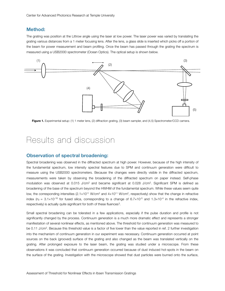#### **Method:**

The grating was position at the Littrow angle using the laser at low power. The laser power was varied by translating the grating various distances from a 1 meter focusing lens. After the lens, a glass slide is inserted which picks off a portion of the beam for power measurement and beam profiling. Once the beam has passed through the grating the spectrum is measured using a USB2000 spectrometer (Ocean Optics). The optical setup is shown below.



Figure 1. Experimental setup: (1) 1 meter lens, (2) diffraction grating, (3) beam sampler, and (4,5) Spectrometer/CCD camera.

### Results and discussion

#### **Observation of spectral broadening:**

Spectral broadening was observed in the diffracted spectrum at high power. However, because of the high intensity of the fundamental spectrum, low intensity spectral features due to SPM and continuum generation were difficult to measure using the USB2000 spectrometers. Because the changes were directly visible in the diffracted spectrum, measurements were taken by observing the broadening of the diffracted spectrum on paper instead. Self-phase modulation was observed at 0.015 J/cm<sup>2</sup> and became significant at 0.028 J/cm<sup>2</sup>. Significant SPM is defined as broadening of the base of the spectrum beyond the HWHM of the fundamental spectrum. While these values seem quite low, the corresponding intensities  $(2.1 \times 10^{11} \text{ W/cm}^2 \text{ and } 4 \times 10^{11} \text{ W/cm}^2$ , respectively) show that the change in refractive index ( $n_2 = 3.1 \times 10^{-16}$  for fused silica, corresponding to a change of  $6.7 \times 10^{-5}$  and  $1.3 \times 10^{-4}$  in the refractive index,  $r$ espectively) is actually quite significant for both of these fluences<sup>[3](#page-4-2)</sup>.

Small spectral broadening can be tolerated in a few applications, especially if the pulse duration and profile is not significantly changed by the process. Continuum generation is a much more dramatic effect and represents a stronger manifestation of several nonlinear effects, as mentioned above. The threshold for continuum generation was measured to be 0.11 J/cm<sup>2</sup>. Because this threshold value is a factor of five lower than the value reported in ref. 2 further investigation into the mechanism of continuum generation in our experiment was necessary. Continuum generation occurred at point sources on the back (grooved) surface of the grating and also changed as the beam was translated vertically on the grating. After prolonged exposure to the laser beam, the grating was studied under a microscope. From these observations it was concluded that continuum generation occurred because of dust induced hot-spots in the beam on the surface of the grating. Investigation with the microscope showed that dust particles were burned onto the surface,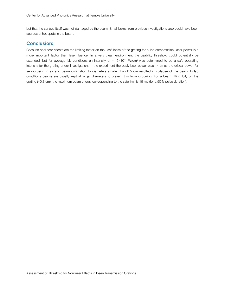but that the surface itself was not damaged by the beam. Small burns from previous investigations also could have been sources of hot spots in the beam.

#### **Conclusion:**

Because nonlinear effects are the limiting factor on the usefulness of the grating for pulse compression, laser power is a more important factor than laser fluence. In a very clean environment the usability threshold could potentially be extended, but for average lab conditions an intensity of  $~1.5 \times 10^{11}$  W/cm<sup>2</sup> was determined to be a safe operating intensity for the grating under investigation. In the experiment the peak laser power was 14 times the critical power for self-focusing in air and beam collimation to diameters smaller than 0.5 cm resulted in collapse of the beam. In lab conditions beams are usually kept at larger diameters to prevent this from occurring. For a beam fitting fully on the grating (~0.8 cm), the maximum beam energy corresponding to the safe limit is 15 mJ (for a 50 fs pulse duration).